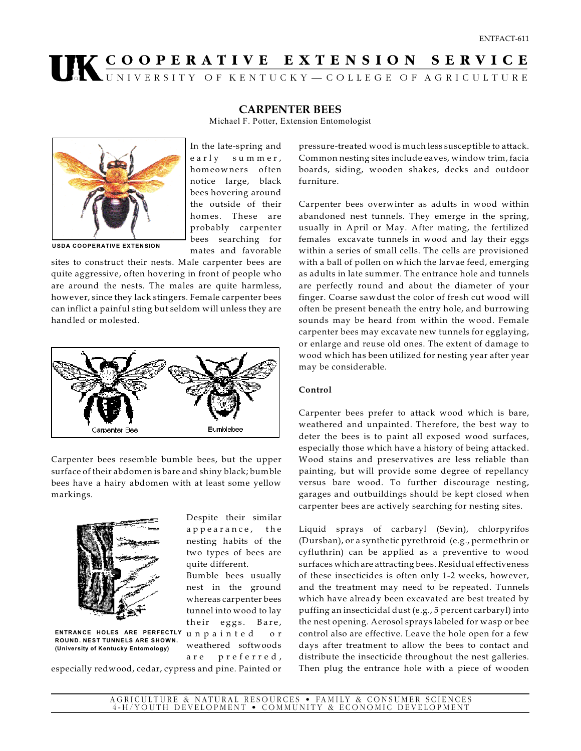## UK COOPERATIVE EXTENSION SERVICE

## **CARPENTER BEES**

Michael F. Potter, Extension Entomologist



In the late-spring and e a rly su m m er, homeow ners often notice large, black bees hovering around the outside of their homes. These are probably carpenter bees searching for mates and favorable

**USDA COOPERATIVE EXTENSION**

sites to construct their nests. Male carpenter bees are quite aggressive, often hovering in front of people who are around the nests. The males are quite harmless, however, since they lack stingers. Female carpenter bees can inflict a painful sting but seldom will unless they are handled or molested.



Carpenter bees resemble bumble bees, but the upper surface of their abdomen is bare and shiny black; bumble bees have a hairy abdomen with at least some yellow markings.



**ENTRANCE HOLES ARE PERFECTLY ROUND. NEST TUNNELS ARE SHOWN. (University of Kentucky Entom ology)** 

Despite their similar a p p e a r a n c e, the nesting habits of the two types of bees are quite different.

Bumble bees usually nest in the ground whereas carpenter bees tunnel into wood to lay their eggs. Bare, unpainted or weathered softwoods are preferred,

especially redwood, cedar, cypress and pine. Painted or

pressure-treated wood is much less susceptible to attack. Common nesting sites include eaves, window trim, facia boards, siding, wooden shakes, decks and outdoor furniture.

Carpenter bees overwinter as adults in wood within abandoned nest tunnels. They emerge in the spring, usually in April or May. After mating, the fertilized females excavate tunnels in wood and lay their eggs within a series of small cells. The cells are provisioned with a ball of pollen on which the larvae feed, emerging as adults in late summer. The entrance hole and tunnels are perfectly round and about the diameter of your finger. Coarse sawdust the color of fresh cut wood will often be present beneath the entry hole, and burrowing sounds may be heard from within the wood. Female carpenter bees may excavate new tunnels for egglaying, or enlarge and reuse old ones. The extent of damage to wood which has been utilized for nesting year after year may be considerable.

## **Control**

Carpenter bees prefer to attack wood which is bare, weathered and unpainted. Therefore, the best way to deter the bees is to paint all exposed wood surfaces, especially those which have a history of being attacked. Wood stains and preservatives are less reliable than painting, but will provide some degree of repellancy versus bare wood. To further discourage nesting, garages and outbuildings should be kept closed when carpenter bees are actively searching for nesting sites.

Liquid sprays of carbaryl (Sevin), chlorpyrifos (Dursban), or a synthetic pyrethroid (e.g., permethrin or cyfluthrin) can be applied as a preventive to wood surfaces which are attracting bees. Residual effectiveness of these insecticides is often only 1-2 weeks, however, and the treatment may need to be repeated. Tunnels which have already been excavated are best treated by puffing an insecticidal dust (e.g., 5 percent carbaryl) into the nest opening. Aerosol sprays labeled for wasp or bee control also are effective. Leave the hole open for a few days after treatment to allow the bees to contact and distribute the insecticide throughout the nest galleries. Then plug the entrance hole with a piece of wooden